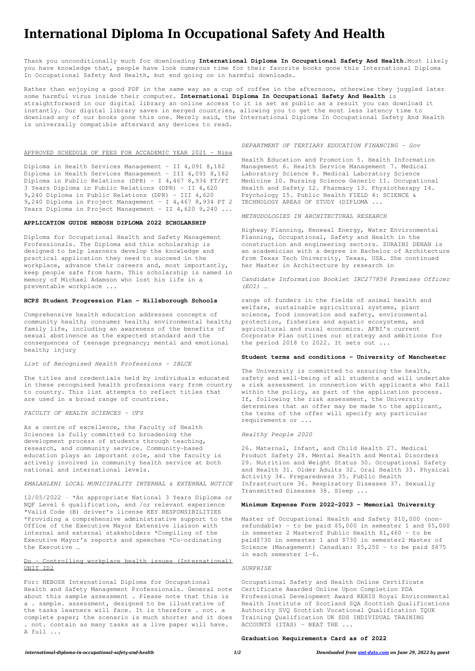# **International Diploma In Occupational Safety And Health**

Thank you unconditionally much for downloading **International Diploma In Occupational Safety And Health**.Most likely you have knowledge that, people have look numerous time for their favorite books gone this International Diploma In Occupational Safety And Health, but end going on in harmful downloads.

Diploma in Health Services Management – II 4,091 8,182 Diploma in Health Services Management - III 4,091 8,182 Diploma in Public Relations (DPR) – I 4,467 8,934 FT/PT 3 Years Diploma in Public Relations (DPR) – II 4,620 9,240 Diploma in Public Relations (DPR) – III 4,620 9,240 Diploma in Project Management – I 4,467 8,934 PT 2 Years Diploma in Project Management - II 4,620 9,240 ...

Rather than enjoying a good PDF in the same way as a cup of coffee in the afternoon, otherwise they juggled later some harmful virus inside their computer. **International Diploma In Occupational Safety And Health** is straightforward in our digital library an online access to it is set as public as a result you can download it instantly. Our digital library saves in merged countries, allowing you to get the most less latency time to download any of our books gone this one. Merely said, the International Diploma In Occupational Safety And Health is universally compatible afterward any devices to read.

# APPROVED SCHEDULE OF FEES FOR ACCADEMIC YEAR 2021 - Nipa

#### **APPLICATION GUIDE NEBOSH DIPLOMA 2022 SCHOLARSHIP**

Diploma for Occupational Health and Safety Management Professionals. The Diploma and this scholarship is designed to help learners develop the knowledge and practical application they need to succeed in the workplace, advance their careers and, most importantly, keep people safe from harm. This scholarship is named in memory of Michael Adamson who lost his life in a preventable workplace ...

#### **HCPS Student Progression Plan - Hillsborough Schools**

Comprehensive health education addresses concepts of community health; consumer health; environmental health; family life, including an awareness of the benefits of sexual abstinence as the expected standard and the consequences of teenage pregnancy; mental and emotional health; injury

# *List of Recognised Health Professions - IBLCE*

The titles and credentials held by individuals educated in these recognised health professions vary from country to country. This list attempts to reflect titles that are used in a broad range of countries.

#### *FACULTY OF HEALTH SCIENCES - UFS*

As a centre of excellence, the Faculty of Health Sciences is fully committed to broadening the development process of students through teaching, research, and community service. Community-based education plays an important role, and the faculty is actively involved in community health service at both national and international levels.

# *EMALAHLENI LOCAL MUNICIPALITY INTERNAL & EXTERNAL NOTICE*

12/05/2022 · \*An appropriate National 3 Years Diploma or NQF Level 6 qualification, and /or relevant experience

\*Valid Code (B) driver's license KEY RESPONSIBILITIES \*Providing a comprehensive administrative support to the Office of the Executive Mayor Extensive liaison with internal and external stakeholders \*Compiling of the Executive Mayor's reports and speeches \*Co-ordinating the Executive …

# Do – Controlling workplace health issues (International) UNIT ID2

For: NEBOSH International Diploma for Occupational Health and Safety Management Professionals. General note about this sample assessment . Please note that this is a . sample. assessment, designed to be illustrative of the tasks learners will face. It is therefore . not. a complete paper; the scenario is much shorter and it does . not. contain as many tasks as a live paper will have. A full ...

#### *DEPARTMENT OF TERTIARY EDUCATION FINANCING - Gov*

Health Education and Promotion 5. Health Information Management 6. Health Service Management 7. Medical Laboratory Science 8. Medical Laboratory Science Medicine 10. Nursing Science Generic 11. Occupational Health and Safety 12. Pharmacy 13. Physiotherapy 14. Psychology 15. Public Health FIELD 4: SCIENCE & TECHNOLOGY AREAS OF STUDY (DIPLOMA ...

#### *METHODOLOGIES IN ARCHITECTURAL RESEARCH*

Highway Planning, Renewal Energy, Water Environmental Planning, Occupational, Safety and Health in the construction and engineering sectors. ZURAINI DENAN is an academician with a degree in Bachelor of Architecture from Texas Tech University, Texas, USA. She continued her Master in Architecture by research in

*Candidate Information Booklet IRC277856 Premises Officer (EOI) …*

range of funders in the fields of animal health and welfare, sustainable agricultural systems, plant science, food innovation and safety, environmental protection, fisheries and aquatic ecosystems, and agricultural and rural economics. AFBI's current Corporate Plan outlines our strategy and ambitions for the period 2018 to 2022. It sets out ...

# **Student terms and conditions - University of Manchester**

The University is committed to ensuring the health, safety and well-being of all students and will undertake a risk assessment in connection with applicants who fall within the policy, as part of the application process. If, following the risk assessment, the University determines that an offer may be made to the applicant, the terms of the offer will specify any particular requirements or ...

#### *Healthy People 2020*

26. Maternal, Infant, and Child Health 27. Medical Product Safety 28. Mental Health and Mental Disorders 29. Nutrition and Weight Status 30. Occupational Safety and Health 31. Older Adults 32. Oral Health 33. Physical Activity 34. Preparedness 35. Public Health Infrastructure 36. Respiratory Diseases 37. Sexually Transmitted Diseases 38. Sleep ...

#### **Minimum Expense Form 2022-2023 - Memorial University**

Master of Occupational Health and Safety \$10,000 (nonrefundable) – to be paid \$5,000 in semester 1 and \$5,000 in semester 2 Masterof Public Health \$1,460 – to be paid\$730 in semester 1 and \$730 in semester2 Master of Science (Management) Canadian: \$5,250 – to be paid \$875 in each semester 1-6.

*SURPRISE*

Occupational Safety and Health Online Certificate Certificate Awarded Online Upon Completion PDA Professional Development Award REHIS Royal Environmental Health Institute of Scotland SQA Scottish Qualifications Authority SVQ Scottish Vocational Qualification TQUK Training Qualification UK SDS INDIVIDUAL TRAINING ACCOUNTS (ITAS) – BEAT THE ...

#### **Graduation Requirements Card as of 2022**